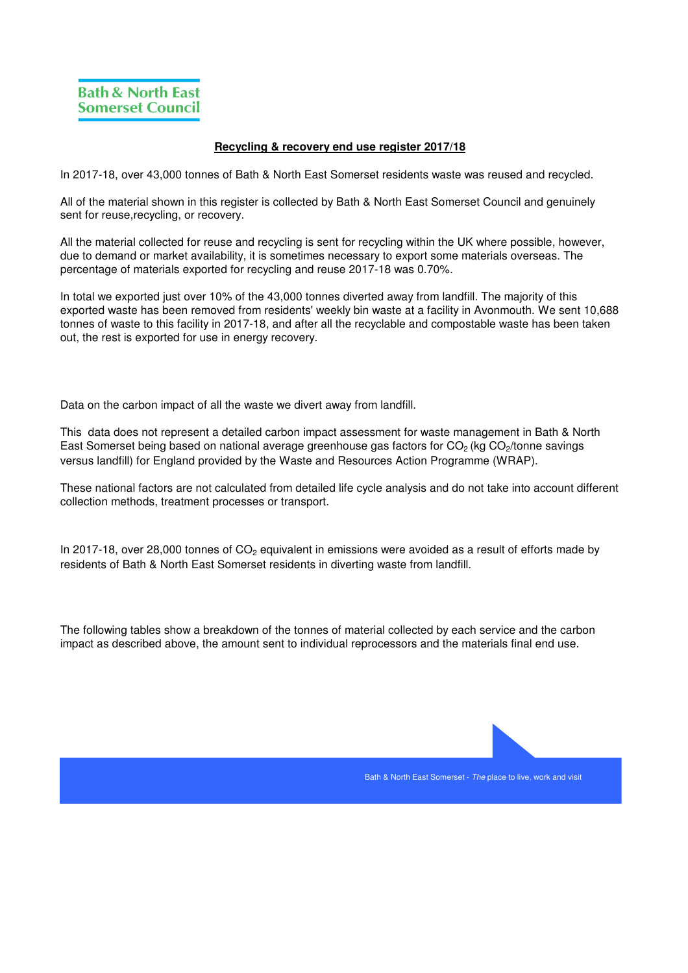## **Recycling & recovery end use register 2017/18**

In 2017-18, over 43,000 tonnes of Bath & North East Somerset residents waste was reused and recycled.

All of the material shown in this register is collected by Bath & North East Somerset Council and genuinely sent for reuse,recycling, or recovery.

All the material collected for reuse and recycling is sent for recycling within the UK where possible, however, due to demand or market availability, it is sometimes necessary to export some materials overseas. The percentage of materials exported for recycling and reuse 2017-18 was 0.70%.

In total we exported just over 10% of the 43,000 tonnes diverted away from landfill. The majority of this exported waste has been removed from residents' weekly bin waste at a facility in Avonmouth. We sent 10,688 tonnes of waste to this facility in 2017-18, and after all the recyclable and compostable waste has been taken out, the rest is exported for use in energy recovery.

Data on the carbon impact of all the waste we divert away from landfill.

This data does not represent a detailed carbon impact assessment for waste management in Bath & North East Somerset being based on national average greenhouse gas factors for CO<sub>2</sub> (kg CO<sub>2</sub>/tonne savings versus landfill) for England provided by the Waste and Resources Action Programme (WRAP).

These national factors are not calculated from detailed life cycle analysis and do not take into account different collection methods, treatment processes or transport.

In 2017-18, over 28,000 tonnes of  $CO<sub>2</sub>$  equivalent in emissions were avoided as a result of efforts made by residents of Bath & North East Somerset residents in diverting waste from landfill.

The following tables show a breakdown of the tonnes of material collected by each service and the carbon impact as described above, the amount sent to individual reprocessors and the materials final end use.

Bath & North East Somerset - The place to live, work and visit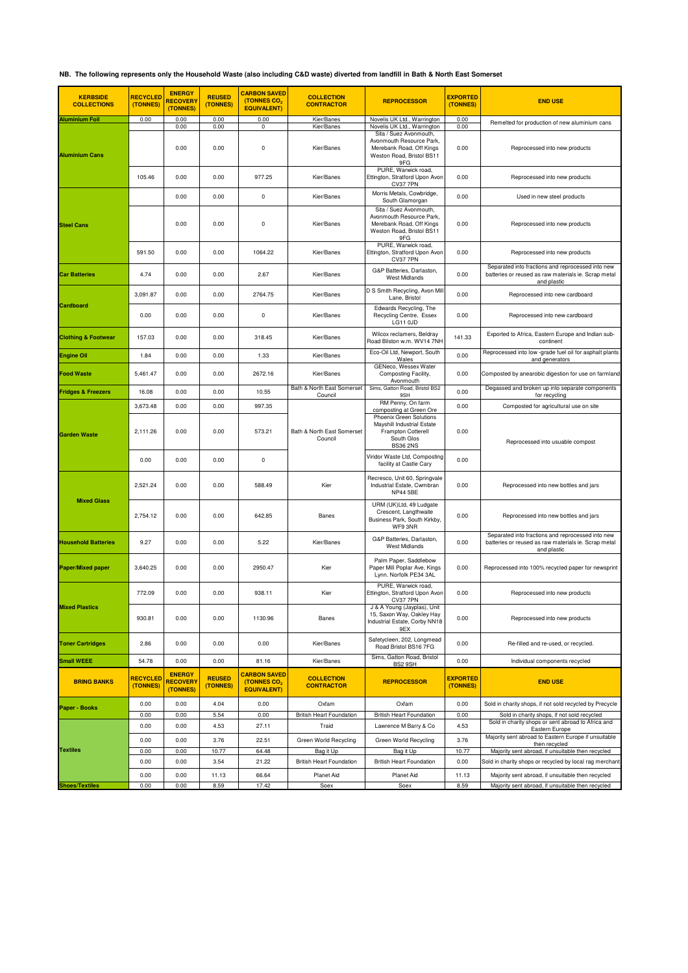## **NB. The following represents only the Household Waste (also including C&D waste) diverted from landfill in Bath & North East Somerset**

| <b>KERBSIDE</b><br><b>COLLECTIONS</b> | <b>RECYCLED</b><br>(TONNES) | <b>ENERGY</b><br><b>RECOVERY</b><br>(TONNES) | <b>REUSED</b><br>(TONNES) | <b>CARBON SAVED</b><br>(TONNES CO <sub>2</sub><br><b>EQUIVALENT)</b> | <b>COLLECTION</b><br><b>CONTRACTOR</b>       | <b>REPROCESSOR</b>                                                                                                 | <b>EXPORTED</b><br>(TONNES) | <b>END USE</b>                                                                                                           |
|---------------------------------------|-----------------------------|----------------------------------------------|---------------------------|----------------------------------------------------------------------|----------------------------------------------|--------------------------------------------------------------------------------------------------------------------|-----------------------------|--------------------------------------------------------------------------------------------------------------------------|
| <b>Aluminium Foil</b>                 | 0.00                        | 0.00<br>0.00                                 | 0.00<br>0.00              | 0.00<br>0                                                            | Kier/Banes<br>Kier/Banes                     | Novelis UK Ltd., Warrington<br>Novelis UK Ltd., Warrington                                                         | 0.00<br>0.00                | Remelted for production of new aluminium cans                                                                            |
| <b>Aluminium Cans</b>                 |                             | 0.00                                         | 0.00                      | $\pmb{0}$                                                            | Kier/Banes                                   | Sita / Suez Avonmouth,<br>Avonmouth Resource Park,<br>Merebank Road, Off Kings<br>Weston Road, Bristol BS11<br>9FG | 0.00                        | Reprocessed into new products                                                                                            |
|                                       | 105.46                      | 0.00                                         | 0.00                      | 977.25                                                               | Kier/Banes                                   | PURE, Warwick road,<br>Ettington, Stratford Upon Avon<br>CV37 7PN                                                  | 0.00                        | Reprocessed into new products                                                                                            |
|                                       |                             | 0.00                                         | 0.00                      | $\pmb{0}$                                                            | Kier/Banes                                   | Morris Metals, Cowbridge,<br>South Glamorgan                                                                       | 0.00                        | Used in new steel products                                                                                               |
| <b>Steel Cans</b>                     |                             | 0.00                                         | 0.00                      | 0                                                                    | Kier/Banes                                   | Sita / Suez Avonmouth,<br>Avonmouth Resource Park.<br>Merebank Road, Off Kings<br>Weston Road, Bristol BS11<br>9FG | 0.00                        | Reprocessed into new products                                                                                            |
|                                       | 591.50                      | 0.00                                         | 0.00                      | 1064.22                                                              | Kier/Banes                                   | PURE, Warwick road,<br>Ettington, Stratford Upon Avon<br>CV37 7PN                                                  | 0.00                        | Reprocessed into new products                                                                                            |
| <b>Car Batteries</b>                  | 4.74                        | 0.00                                         | 0.00                      | 2.67                                                                 | Kier/Banes                                   | G&P Batteries, Darlaston,<br><b>West Midlands</b>                                                                  | 0.00                        | Separated into fractions and reprocessed into new<br>batteries or reused as raw materials ie. Scrap metal<br>and plastic |
|                                       | 3,091.87                    | 0.00                                         | 0.00                      | 2764.75                                                              | Kier/Banes                                   | D S Smith Recycling, Avon Mil<br>Lane, Bristol                                                                     | 0.00                        | Reprocessed into new cardboard                                                                                           |
| Cardboard                             | 0.00                        | 0.00                                         | 0.00                      | 0                                                                    | Kier/Banes                                   | Edwards Recycling, The<br>Recycling Centre, Essex<br>LG11 0JD                                                      | 0.00                        | Reprocessed into new cardboard                                                                                           |
| <b>Clothing &amp; Footwear</b>        | 157.03                      | 0.00                                         | 0.00                      | 318.45                                                               | Kier/Banes                                   | Wilcox reclamers, Beldray<br>Road Bilston w.m. WV14 7NH                                                            | 141.33                      | Exported to Africa, Eastern Europe and Indian sub-<br>continent                                                          |
| <b>Engine Oil</b>                     | 1.84                        | 0.00                                         | 0.00                      | 1.33                                                                 | Kier/Banes                                   | Eco-Oil Ltd, Newport, South<br>Wales                                                                               | 0.00                        | Reprocessed into low -grade fuel oil for asphalt plants<br>and generators                                                |
| Food Waste                            | 5,461.47                    | 0.00                                         | 0.00                      | 2672.16                                                              | Kier/Banes                                   | GENeco, Wessex Water<br>Composting Facility,<br>Avonmouth                                                          | 0.00                        | Composted by anearobic digestion for use on farmland                                                                     |
| <b>Fridges &amp; Freezers</b>         | 16.08                       | 0.00                                         | 0.00                      | 10.55                                                                | Bath & North East Somerset<br>Council        | Sims, Gatton Road, Bristol BS2<br>9SH                                                                              | 0.00                        | Degassed and broken up into separate components<br>for recycling                                                         |
|                                       | 3,673.48                    | 0.00                                         | 0.00                      | 997.35                                                               |                                              | RM Penny. On farm<br>composting at Green Ore                                                                       | 0.00                        | Composted for agricultural use on site                                                                                   |
| <b>Garden Waste</b>                   | 2,111.26                    | 0.00                                         | 0.00                      | 573.21                                                               | Bath & North East Somerset<br>Council        | Phoenix Green Solutions<br>Mayshill Industrial Estate<br>Frampton Cotterell<br>South Glos<br><b>BS36 2NS</b>       | 0.00                        | Reprocessed into usuable compost                                                                                         |
|                                       | 0.00                        | 0.00                                         | 0.00                      | 0                                                                    |                                              | Viridor Waste Ltd, Composting<br>facility at Castle Cary                                                           | 0.00                        |                                                                                                                          |
|                                       | 2,521.24                    | 0.00                                         | 0.00                      | 588.49                                                               | Kier                                         | Recresco, Unit 60, Springvale<br>Industrial Estate, Cwmbran<br><b>NP44 5BE</b>                                     | 0.00                        | Reprocessed into new bottles and jars                                                                                    |
| <b>Mixed Glass</b>                    | 2,754.12                    | 0.00                                         | 0.00                      | 642.85                                                               | Banes                                        | URM (UK)Ltd, 49 Ludgate<br>Crescent, Langthwaite<br>Business Park, South Kirkby,<br>WF9 3NR                        | 0.00                        | Reprocessed into new bottles and jars                                                                                    |
| <b>Household Batteries</b>            | 9.27                        | 0.00                                         | 0.00                      | 5.22                                                                 | Kier/Banes                                   | G&P Batteries, Darlaston,<br><b>West Midlands</b>                                                                  | 0.00                        | Separated into fractions and reprocessed into new<br>batteries or reused as raw materials ie. Scrap metal<br>and plastic |
| <b>Paper/Mixed paper</b>              | 3,640.25                    | 0.00                                         | 0.00                      | 2950.47                                                              | Kier                                         | Palm Paper, Saddlebow<br>Paper Mill Poplar Ave, Kings<br>Lynn. Norfolk PE34 3AL                                    | 0.00                        | Reprocessed into 100% recycled paper for newsprint                                                                       |
|                                       | 772.09                      | 0.00                                         | 0.00                      | 938.11                                                               | Kier                                         | PURE, Warwick road,<br>Ettington, Stratford Upon Avon<br><b>CV37 7PN</b>                                           | 0.00                        | Reprocessed into new products                                                                                            |
| <b>Mixed Plastics</b>                 | 930.81                      | 0.00                                         | 0.00                      | 1130.96                                                              | Banes                                        | J & A Young (Jayplas), Unit<br>15, Saxon Way, Oakley Hay<br>Industrial Estate, Corby NN18<br>9EX                   | 0.00                        | Reprocessed into new products                                                                                            |
| <b>Toner Cartridges</b>               | 2.86                        | 0.00                                         | 0.00                      | 0.00                                                                 | Kier/Banes                                   | Safetycleen, 202, Longmead<br>Road Bristol BS16 7FG                                                                | 0.00                        | Re-filled and re-used, or recycled.                                                                                      |
| <b>Small WEEE</b>                     | 54.78                       | 0.00                                         | 0.00                      | 81.16                                                                | Kier/Banes                                   | Sims, Gatton Road, Bristol<br>BS2 9SH                                                                              | 0.00                        | Individual components recycled                                                                                           |
| <b>BRING BANKS</b>                    | <b>RECYCLED</b><br>(TONNES) | <b>ENERGY</b><br><b>RECOVERY</b><br>(TONNES) | <b>REUSED</b><br>(TONNES) | <b>CARBON SAVED</b><br>(TONNES CO <sub>2</sub><br><b>EQUIVALENT)</b> | <b>COLLECTION</b><br><b>CONTRACTOR</b>       | <b>REPROCESSOR</b>                                                                                                 | <b>EXPORTED</b><br>(TONNES) | <b>END USE</b>                                                                                                           |
| Paper - Books                         | 0.00<br>0.00                | 0.00<br>0.00                                 | 4.04<br>5.54              | 0.00                                                                 | Oxfam                                        | Oxfam                                                                                                              | 0.00                        | Sold in charity shops, if not sold recycled by Precycle                                                                  |
|                                       | 0.00                        | 0.00                                         | 4.53                      | 0.00<br>27.11                                                        | <b>British Heart Foundation</b><br>Traid     | <b>British Heart Foundation</b><br>Lawrence M Barry & Co                                                           | 0.00<br>4.53                | Sold in charity shops, if not sold recycled<br>Sold in charity shops or sent abroad to Africa and<br>Eastern Europe      |
|                                       | 0.00                        | 0.00                                         | 3.76                      | 22.51                                                                | Green World Recycling                        | Green World Recycling                                                                                              | 3.76                        | Majority sent abroad to Eastern Europe if unsuitable<br>then recycled                                                    |
| <b>Textiles</b>                       | 0.00<br>0.00                | 0.00<br>0.00                                 | 10.77<br>3.54             | 64.48<br>21.22                                                       | Bag it Up<br><b>British Heart Foundation</b> | Bag it Up<br><b>British Heart Foundation</b>                                                                       | 10.77<br>0.00               | Majority sent abroad, if unsuitable then recycled<br>Sold in charity shops or recycled by local rag merchan              |
|                                       | 0.00                        | 0.00                                         | 11.13                     | 66.64                                                                | Planet Aid                                   | Planet Aid                                                                                                         | 11.13                       | Majority sent abroad, if unsuitable then recycled                                                                        |
| <b>Shoes/Textiles</b>                 | 0.00                        | 0.00                                         | 8.59                      | 17.42                                                                | Soex                                         | Soex                                                                                                               | 8.59                        | Majority sent abroad, if unsuitable then recycled                                                                        |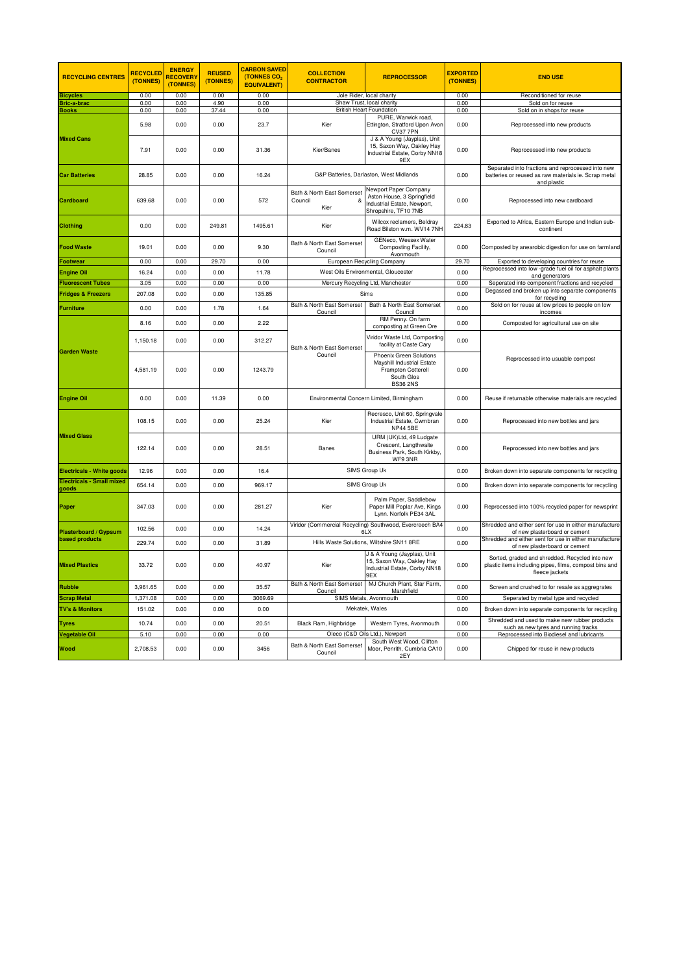| <b>RECYCLING CENTRES</b>                  | <b>RECYCLED</b><br>(TONNES) | <b>ENERGY</b><br><b>RECOVERY</b><br>(TONNES) | <b>REUSED</b><br>(TONNES) | <b>CARBON SAVED</b><br>(TONNES CO <sub>2</sub><br><b>EQUIVALENT)</b> | <b>COLLECTION</b><br><b>CONTRACTOR</b>             | <b>REPROCESSOR</b>                                                                                           | <b>EXPORTED</b><br>(TONNES) | <b>END USE</b>                                                                                                             |
|-------------------------------------------|-----------------------------|----------------------------------------------|---------------------------|----------------------------------------------------------------------|----------------------------------------------------|--------------------------------------------------------------------------------------------------------------|-----------------------------|----------------------------------------------------------------------------------------------------------------------------|
| <b>Bicycles</b>                           | 0.00                        | 0.00                                         | 0.00                      | 0.00                                                                 |                                                    | Jole Rider, local charity                                                                                    | 0.00                        | Reconditioned for reuse                                                                                                    |
| <b>Bric-a-brac</b>                        | 0.00                        | 0.00                                         | 4.90                      | 0.00                                                                 |                                                    | Shaw Trust, local charity                                                                                    | 0.00                        | Sold on for reuse                                                                                                          |
| <b>Books</b>                              | 0.00                        | 0.00                                         | 37.44                     | 0.00                                                                 |                                                    | <b>British Heart Foundation</b><br>PURE, Warwick road.                                                       | 0.00                        | Sold on in shops for reuse                                                                                                 |
|                                           | 5.98                        | 0.00                                         | 0.00                      | 23.7                                                                 | Kier                                               | Ettington, Stratford Upon Avon<br><b>CV37 7PN</b>                                                            | 0.00                        | Reprocessed into new products                                                                                              |
| <b>Mixed Cans</b>                         | 7.91                        | 0.00                                         | 0.00                      | 31.36                                                                | Kier/Banes                                         | J & A Young (Jayplas), Unit<br>15, Saxon Way, Oakley Hay<br>Industrial Estate, Corby NN18<br>9EX             | 0.00                        | Reprocessed into new products                                                                                              |
| <b>Car Batteries</b>                      | 28.85                       | 0.00                                         | 0.00                      | 16.24                                                                |                                                    | G&P Batteries, Darlaston, West Midlands                                                                      | 0.00                        | Separated into fractions and reprocessed into new<br>batteries or reused as raw materials ie. Scrap metal<br>and plastic   |
| Cardboard                                 | 639.68                      | 0.00                                         | 0.00                      | 572                                                                  | Bath & North East Somerset<br>Council<br>&<br>Kier | Newport Paper Company<br>Aston House, 3 Springfield<br>Industrial Estate, Newport,<br>Shropshire, TF10 7NB   | 0.00                        | Reprocessed into new cardboard                                                                                             |
| <b>Clothing</b>                           | 0.00                        | 0.00                                         | 249.81                    | 1495.61                                                              | Kier                                               | Wilcox reclamers, Beldray<br>Road Bilston w.m. WV14 7NH                                                      | 224.83                      | Exported to Africa, Eastern Europe and Indian sub-<br>continent                                                            |
| <b>Food Waste</b>                         | 19.01                       | 0.00                                         | 0.00                      | 9.30                                                                 | Bath & North East Somerset<br>Council              | GENeco, Wessex Water<br>Composting Facility,<br>Avonmouth                                                    | 0.00                        | Composted by anearobic digestion for use on farmland                                                                       |
| Footwear                                  | 0.00                        | 0.00                                         | 29.70                     | 0.00                                                                 |                                                    | European Recycling Company                                                                                   | 29.70                       | Exported to developing countries for reuse                                                                                 |
| <b>Engine Oil</b>                         | 16.24                       | 0.00                                         | 0.00                      | 11.78                                                                |                                                    | West Oils Environmental, Gloucester                                                                          | 0.00                        | Reprocessed into low -grade fuel oil for asphalt plants<br>and generators                                                  |
| <b>Fluorescent Tubes</b>                  | 3.05                        | 0.00                                         | 0.00                      | 0.00                                                                 |                                                    | Mercury Recycling Ltd, Manchester                                                                            | 0.00                        | Seperated into component fractions and recycled                                                                            |
| <b>Fridges &amp; Freezers</b>             | 207.08                      | 0.00                                         | 0.00                      | 135.85                                                               |                                                    | Sims                                                                                                         | 0.00                        | Degassed and broken up into separate components<br>for recycling                                                           |
| <b>Furniture</b>                          | 0.00                        | 0.00                                         | 1.78                      | 1.64                                                                 | Bath & North East Somerset<br>Council              | Bath & North East Somerset<br>Council                                                                        | 0.00                        | Sold on for reuse at low prices to people on low<br>incomes                                                                |
|                                           | 8.16                        | 0.00                                         | 0.00                      | 2.22                                                                 |                                                    | RM Penny. On farm<br>composting at Green Ore                                                                 | 0.00                        | Composted for agricultural use on site                                                                                     |
|                                           | 1,150.18                    | 0.00                                         | 0.00                      | 312.27                                                               | Bath & North East Somerset                         | Viridor Waste Ltd, Composting<br>facility at Caste Cary                                                      | 0.00                        |                                                                                                                            |
| <b>Garden Waste</b>                       | 4,581.19                    | 0.00                                         | 0.00                      | 1243.79                                                              | Council                                            | Phoenix Green Solutions<br>Mayshill Industrial Estate<br>Frampton Cotterell<br>South Glos<br><b>BS36 2NS</b> | 0.00                        | Reprocessed into usuable compost                                                                                           |
| Engine Oil                                | 0.00                        | 0.00                                         | 11.39                     | 0.00                                                                 |                                                    | Environmental Concern Limited, Birmingham                                                                    | 0.00                        | Reuse if returnable otherwise materials are recycled                                                                       |
|                                           | 108.15                      | 0.00                                         | 0.00                      | 25.24                                                                | Kier                                               | Recresco, Unit 60, Springvale<br>Industrial Estate, Cwmbran<br><b>NP44 5BE</b>                               | 0.00                        | Reprocessed into new bottles and jars                                                                                      |
| <b>Mixed Glass</b>                        | 122.14                      | 0.00                                         | 0.00                      | 28.51                                                                | Banes                                              | URM (UK)Ltd, 49 Ludgate<br>Crescent, Langthwaite<br>Business Park, South Kirkby,<br>WF9 3NR                  | 0.00                        | Reprocessed into new bottles and jars                                                                                      |
| <b>Electricals - White goods</b>          | 12.96                       | 0.00                                         | 0.00                      | 16.4                                                                 |                                                    | SIMS Group Uk                                                                                                | 0.00                        | Broken down into separate components for recycling                                                                         |
| <b>Electricals - Small mixed</b><br>goods | 654.14                      | 0.00                                         | 0.00                      | 969.17                                                               |                                                    | SIMS Group Uk                                                                                                | 0.00                        | Broken down into separate components for recycling                                                                         |
| Paper                                     | 347.03                      | 0.00                                         | 0.00                      | 281.27                                                               | Kier                                               | Palm Paper, Saddlebow<br>Paper Mill Poplar Ave, Kings<br>Lynn. Norfolk PE34 3AL                              | 0.00                        | Reprocessed into 100% recycled paper for newsprint                                                                         |
| Plasterboard / Gypsum                     | 102.56                      | 0.00                                         | 0.00                      | 14.24                                                                |                                                    | Viridor (Commercial Recycling) Southwood, Evercreech BA4<br>6LX                                              | 0.00                        | Shredded and either sent for use in either manufacture<br>of new plasterboard or cement                                    |
| <b>based products</b>                     | 229.74                      | 0.00                                         | 0.00                      | 31.89                                                                |                                                    | Hills Waste Solutions, Wiltshire SN11 8RE                                                                    | 0.00                        | Shredded and either sent for use in either manufacture<br>of new plasterboard or cement                                    |
| <b>Mixed Plastics</b>                     | 33.72                       | 0.00                                         | 0.00                      | 40.97                                                                | Kier                                               | J & A Young (Jayplas), Unit<br>15, Saxon Way, Oakley Hay<br>Industrial Estate, Corby NN18<br>9EX             | 0.00                        | Sorted, graded and shredded. Recycled into new<br>plastic items including pipes, films, compost bins and<br>fleece jackets |
| <b>Rubble</b>                             | 3,961.65                    | 0.00                                         | 0.00                      | 35.57                                                                | Bath & North East Somerset                         | MJ Church Plant, Star Farm,                                                                                  | 0.00                        | Screen and crushed to for resale as aggregrates                                                                            |
| <b>Scrap Metal</b>                        | 1,371.08                    | 0.00                                         | 0.00                      | 3069.69                                                              | Council                                            | Marshfield<br>SIMS Metals, Avonmouth                                                                         | 0.00                        | Seperated by metal type and recycled                                                                                       |
| <b>TV's &amp; Monitors</b>                | 151.02                      | 0.00                                         | 0.00                      | 0.00                                                                 |                                                    | Mekatek, Wales                                                                                               | 0.00                        | Broken down into separate components for recycling                                                                         |
| Tvres                                     | 10.74                       | 0.00                                         | 0.00                      | 20.51                                                                | Black Ram, Highbridge                              | Western Tyres, Avonmouth                                                                                     | 0.00                        | Shredded and used to make new rubber products                                                                              |
| Vegetable Oil                             | 5.10                        | 0.00                                         | 0.00                      | 0.00                                                                 |                                                    | Oleco (C&D Oils Ltd.), Newport                                                                               | 0.00                        | such as new tyres and running tracks<br>Reprocessed into Biodiesel and lubricants                                          |
| <b>Wood</b>                               | 2,708.53                    | 0.00                                         | 0.00                      | 3456                                                                 | Bath & North East Somerset<br>Council              | South West Wood, Clifton<br>Moor, Penrith, Cumbria CA10<br>2FY                                               | 0.00                        | Chipped for reuse in new products                                                                                          |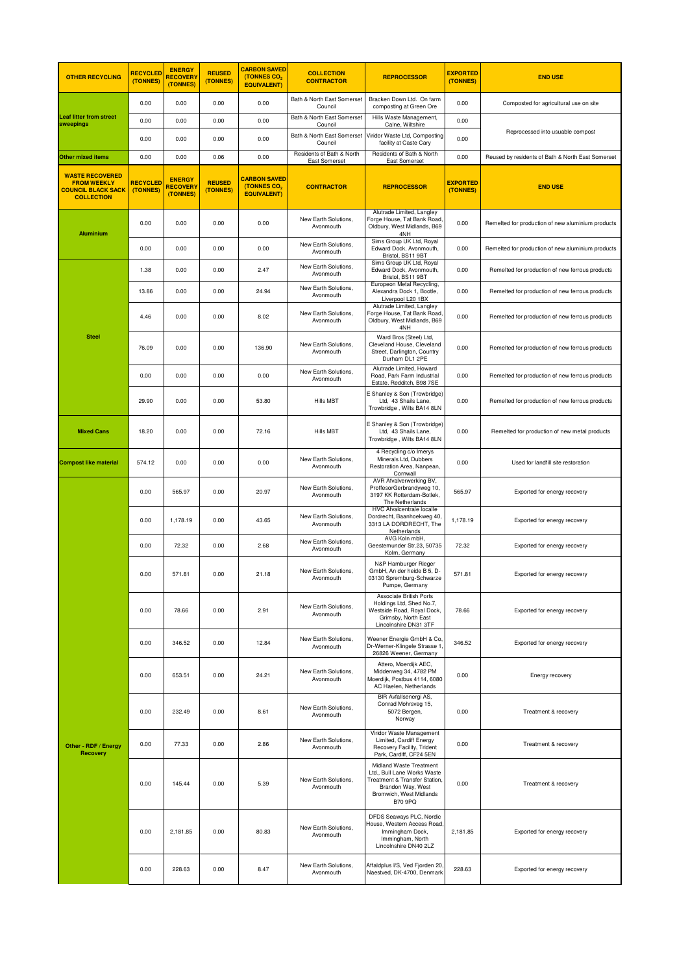| <b>OTHER RECYCLING</b>                                                                         | <b>RECYCLED</b><br>(TONNES) | <b>ENERGY</b><br><b>RECOVER\</b><br>(TONNES) | <b>REUSED</b><br>(TONNES) | <b>CARBON SAVED</b><br>(TONNES CO <sub>2</sub><br><b>EQUIVALENT)</b> | <b>COLLECTION</b><br><b>CONTRACTOR</b>            | <b>REPROCESSOR</b>                                                                                                                                        | <b>EXPORTED</b><br>(TONNES) | <b>END USE</b>                                    |
|------------------------------------------------------------------------------------------------|-----------------------------|----------------------------------------------|---------------------------|----------------------------------------------------------------------|---------------------------------------------------|-----------------------------------------------------------------------------------------------------------------------------------------------------------|-----------------------------|---------------------------------------------------|
|                                                                                                | 0.00                        | 0.00                                         | 0.00                      | 0.00                                                                 | Bath & North East Somerset<br>Council             | Bracken Down Ltd. On farm<br>composting at Green Ore                                                                                                      | 0.00                        | Composted for agricultural use on site            |
| <b>Leaf litter from street</b><br>sweepings                                                    | 0.00                        | 0.00                                         | 0.00                      | 0.00                                                                 | Bath & North East Somerset<br>Council             | Hills Waste Management,<br>Calne, Wiltshire                                                                                                               | 0.00                        |                                                   |
|                                                                                                | 0.00                        | 0.00                                         | 0.00                      | 0.00                                                                 | Bath & North East Somerset<br>Council             | Viridor Waste Ltd, Composting<br>facility at Caste Cary                                                                                                   | 0.00                        | Reprocessed into usuable compost                  |
| <b>Other mixed items</b>                                                                       | 0.00                        | 0.00                                         | 0.06                      | 0.00                                                                 | Residents of Bath & North<br><b>East Somerset</b> | Residents of Bath & North<br><b>East Somerset</b>                                                                                                         | 0.00                        | Reused by residents of Bath & North East Somerset |
| <b>WASTE RECOVERED</b><br><b>FROM WEEKLY</b><br><b>COUNCIL BLACK SACK</b><br><b>COLLECTION</b> | <b>RECYCLED</b><br>(TONNES) | <b>ENERGY</b><br><b>RECOVER</b><br>(TONNES)  | <b>REUSED</b><br>(TONNES) | <b>CARBON SAVED</b><br>(TONNES CO <sub>2</sub><br><b>EQUIVALENT)</b> | <b>CONTRACTOR</b>                                 | <b>REPROCESSOR</b>                                                                                                                                        | <b>EXPORTED</b><br>(TONNES) | <b>END USE</b>                                    |
| <b>Aluminium</b>                                                                               | 0.00                        | 0.00                                         | 0.00                      | 0.00                                                                 | New Earth Solutions,<br>Avonmouth                 | Alutrade Limited, Langley<br>Forge House, Tat Bank Road<br>Oldbury, West Midlands, B69<br>4NH                                                             | 0.00                        | Remelted for production of new aluminium products |
|                                                                                                | 0.00                        | 0.00                                         | 0.00                      | 0.00                                                                 | New Earth Solutions,<br>Avonmouth                 | Sims Group UK Ltd, Royal<br>Edward Dock, Avonmouth,<br>Bristol, BS11 9BT                                                                                  | 0.00                        | Remelted for production of new aluminium products |
|                                                                                                | 1.38                        | 0.00                                         | 0.00                      | 2.47                                                                 | New Earth Solutions,<br>Avonmouth                 | Sims Group UK Ltd, Royal<br>Edward Dock, Avonmouth,<br>Bristol, BS11 9BT                                                                                  | 0.00                        | Remelted for production of new ferrous products   |
|                                                                                                | 13.86                       | 0.00                                         | 0.00                      | 24.94                                                                | New Earth Solutions,<br>Avonmouth                 | Europeon Metal Recycling,<br>Alexandra Dock 1, Bootle,<br>Liverpool L20 1BX                                                                               | 0.00                        | Remelted for production of new ferrous products   |
|                                                                                                | 4.46                        | 0.00                                         | 0.00                      | 8.02                                                                 | New Earth Solutions.<br>Avonmouth                 | Alutrade Limited, Langley<br>Forge House, Tat Bank Road<br>Oldbury, West Midlands, B69<br>4NH                                                             | 0.00                        | Remelted for production of new ferrous products   |
| <b>Steel</b>                                                                                   | 76.09                       | 0.00                                         | 0.00                      | 136.90                                                               | New Earth Solutions.<br>Avonmouth                 | Ward Bros (Steel) Ltd,<br>Cleveland House, Cleveland<br>Street, Darlington, Country<br>Durham DL1 2PE                                                     | 0.00                        | Remelted for production of new ferrous products   |
|                                                                                                | 0.00                        | 0.00                                         | 0.00                      | 0.00                                                                 | New Earth Solutions.<br>Avonmouth                 | Alutrade Limited, Howard<br>Road, Park Farm Industrial<br>Estate, Redditch, B98 7SE                                                                       | 0.00                        | Remelted for production of new ferrous products   |
|                                                                                                | 29.90                       | 0.00                                         | 0.00                      | 53.80                                                                | Hills MBT                                         | E Shanley & Son (Trowbridge)<br>Ltd, 43 Shails Lane,<br>Trowbridge, Wilts BA14 8LN                                                                        | 0.00                        | Remelted for production of new ferrous products   |
| <b>Mixed Cans</b>                                                                              | 18.20                       | 0.00                                         | 0.00                      | 72.16                                                                | Hills MBT                                         | E Shanley & Son (Trowbridge)<br>Ltd, 43 Shails Lane,<br>Trowbridge, Wilts BA14 8LN                                                                        | 0.00                        | Remelted for production of new metal products     |
| <b>Compost like material</b>                                                                   | 574.12                      | 0.00                                         | 0.00                      | 0.00                                                                 | New Earth Solutions,<br>Avonmouth                 | 4 Recycling c/o Imerys<br>Minerals Ltd, Dubbers<br>Restoration Area, Nanpean,<br>Cornwall                                                                 | 0.00                        | Used for landfill site restoration                |
|                                                                                                | 0.00                        | 565.97                                       | 0.00                      | 20.97                                                                | New Earth Solutions,<br>Avonmouth                 | AVR Afvalverwerking BV,<br>ProffesorGerbrandyweg 10,<br>3197 KK Rotterdam-Botlek,<br>The Netherlands                                                      | 565.97                      | Exported for energy recovery                      |
|                                                                                                | 0.00                        | 1,178.19                                     | 0.00                      | 43.65                                                                | New Earth Solutions,<br>Avonmouth                 | <b>HVC Afvalcentrale localle</b><br>Dordrecht, Baanhoekweg 40.<br>3313 LA DORDRECHT, The<br>Netherlands                                                   | 1,178.19                    | Exported for energy recovery                      |
|                                                                                                | 0.00                        | 72.32                                        | 0.00                      | 2.68                                                                 | New Earth Solutions.<br>Avonmouth                 | AVG Koln mbH.<br>Geestemunder Str.23, 50735<br>Kolm, Germany                                                                                              | 72.32                       | Exported for energy recovery                      |
|                                                                                                | 0.00                        | 571.81                                       | 0.00                      | 21.18                                                                | New Earth Solutions,<br>Avonmouth                 | N&P Hamburger Rieger<br>GmbH, An der heide B 5, D-<br>03130 Spremburg-Schwarze<br>Pumpe, Germany                                                          | 571.81                      | Exported for energy recovery                      |
|                                                                                                | 0.00                        | 78.66                                        | 0.00                      | 2.91                                                                 | New Earth Solutions,<br>Avonmouth                 | <b>Associate British Ports</b><br>Holdings Ltd, Shed No.7,<br>Westside Road, Royal Dock,<br>Grimsby, North East<br>Lincolnshire DN31 3TF                  | 78.66                       | Exported for energy recovery                      |
|                                                                                                | 0.00                        | 346.52                                       | 0.00                      | 12.84                                                                | New Earth Solutions,<br>Avonmouth                 | Weener Energie GmbH & Co.<br>Dr-Werner-Klingele Strasse 1<br>26826 Weener, Germany                                                                        | 346.52                      | Exported for energy recovery                      |
|                                                                                                | 0.00                        | 653.51                                       | 0.00                      | 24.21                                                                | New Earth Solutions,<br>Avonmouth                 | Attero, Moerdijk AEC,<br>Middenweg 34, 4782 PM<br>Moerdijk, Postbus 4114, 6080<br>AC Haelen, Netherlands                                                  | 0.00                        | Energy recovery                                   |
|                                                                                                | 0.00                        | 232.49                                       | 0.00                      | 8.61                                                                 | New Earth Solutions,<br>Avonmouth                 | BIR Avfallsenergi AS,<br>Conrad Mohrsveg 15,<br>5072 Bergen,<br>Norway                                                                                    | 0.00                        | Treatment & recovery                              |
| Other - RDF / Energy<br><b>Recovery</b>                                                        | 0.00                        | 77.33                                        | 0.00                      | 2.86                                                                 | New Earth Solutions,<br>Avonmouth                 | Viridor Waste Management<br>Limited, Cardiff Energy<br>Recovery Facility, Trident<br>Park, Cardiff, CF24 5EN                                              | 0.00                        | Treatment & recovery                              |
|                                                                                                | 0.00                        | 145.44                                       | 0.00                      | 5.39                                                                 | New Earth Solutions,<br>Avonmouth                 | Midland Waste Treatment<br>Ltd., Bull Lane Works Waste<br>Treatment & Transfer Station,<br>Brandon Way, West<br>Bromwich, West Midlands<br><b>B70 9PQ</b> | 0.00                        | Treatment & recovery                              |
|                                                                                                | 0.00                        | 2,181.85                                     | 0.00                      | 80.83                                                                | New Earth Solutions,<br>Avonmouth                 | DFDS Seaways PLC, Nordic<br>House, Western Access Road,<br>Immingham Dock,<br>Immingham, North<br>Lincolnshire DN40 2LZ                                   | 2,181.85                    | Exported for energy recovery                      |
|                                                                                                | 0.00                        | 228.63                                       | 0.00                      | 8.47                                                                 | New Earth Solutions,<br>Avonmouth                 | Affaldplus I/S, Ved Fjorden 20,<br>Naestved, DK-4700, Denmark                                                                                             | 228.63                      | Exported for energy recovery                      |